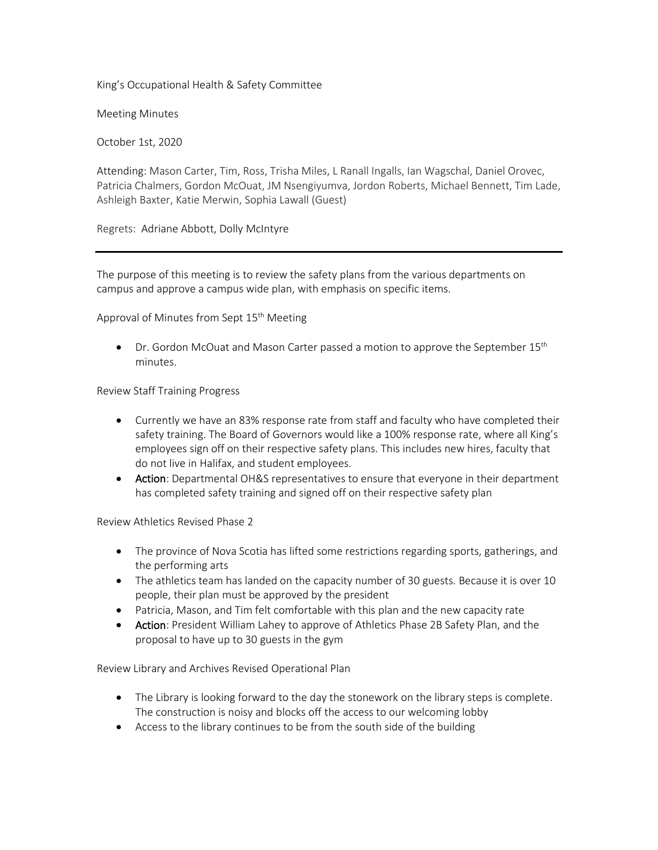King's Occupational Health & Safety Committee

Meeting Minutes

October 1st, 2020

Attending: Mason Carter, Tim, Ross, Trisha Miles, L Ranall Ingalls, Ian Wagschal, Daniel Orovec, Patricia Chalmers, Gordon McOuat, JM Nsengiyumva, Jordon Roberts, Michael Bennett, Tim Lade, Ashleigh Baxter, Katie Merwin, Sophia Lawall (Guest)

Regrets: Adriane Abbott, Dolly McIntyre

The purpose of this meeting is to review the safety plans from the various departments on campus and approve a campus wide plan, with emphasis on specific items.

Approval of Minutes from Sept 15<sup>th</sup> Meeting

• Dr. Gordon McOuat and Mason Carter passed a motion to approve the September 15<sup>th</sup> minutes.

Review Staff Training Progress

- Currently we have an 83% response rate from staff and faculty who have completed their safety training. The Board of Governors would like a 100% response rate, where all King's employees sign off on their respective safety plans. This includes new hires, faculty that do not live in Halifax, and student employees.
- Action: Departmental OH&S representatives to ensure that everyone in their department has completed safety training and signed off on their respective safety plan

Review Athletics Revised Phase 2

- The province of Nova Scotia has lifted some restrictions regarding sports, gatherings, and the performing arts
- The athletics team has landed on the capacity number of 30 guests. Because it is over 10 people, their plan must be approved by the president
- Patricia, Mason, and Tim felt comfortable with this plan and the new capacity rate
- Action: President William Lahey to approve of Athletics Phase 2B Safety Plan, and the proposal to have up to 30 guests in the gym

Review Library and Archives Revised Operational Plan

- The Library is looking forward to the day the stonework on the library steps is complete. The construction is noisy and blocks off the access to our welcoming lobby
- Access to the library continues to be from the south side of the building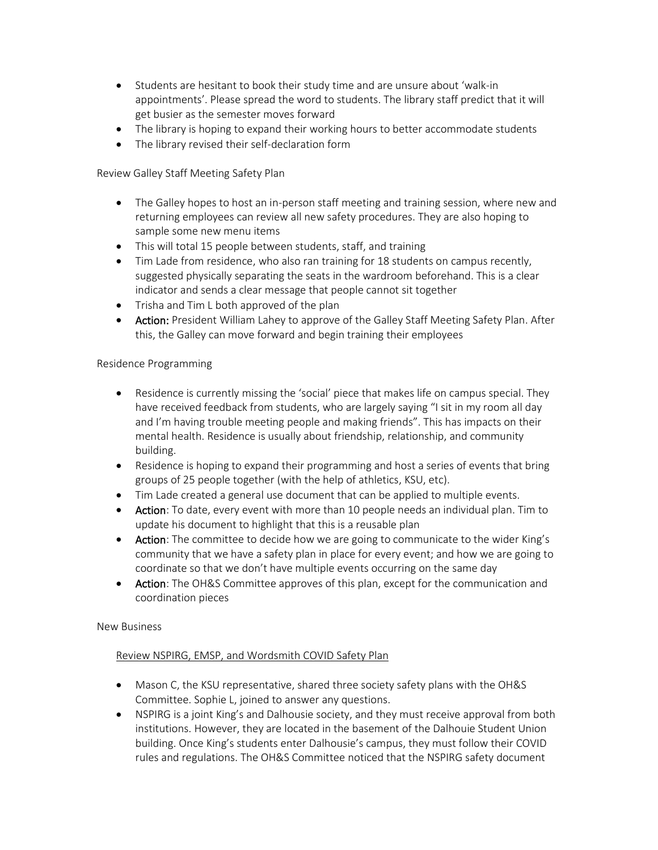- Students are hesitant to book their study time and are unsure about 'walk-in appointments'. Please spread the word to students. The library staff predict that it will get busier as the semester moves forward
- The library is hoping to expand their working hours to better accommodate students
- The library revised their self-declaration form

Review Galley Staff Meeting Safety Plan

- The Galley hopes to host an in-person staff meeting and training session, where new and returning employees can review all new safety procedures. They are also hoping to sample some new menu items
- This will total 15 people between students, staff, and training
- Tim Lade from residence, who also ran training for 18 students on campus recently, suggested physically separating the seats in the wardroom beforehand. This is a clear indicator and sends a clear message that people cannot sit together
- Trisha and Tim L both approved of the plan
- Action: President William Lahey to approve of the Galley Staff Meeting Safety Plan. After this, the Galley can move forward and begin training their employees

# Residence Programming

- Residence is currently missing the 'social' piece that makes life on campus special. They have received feedback from students, who are largely saying "I sit in my room all day and I'm having trouble meeting people and making friends". This has impacts on their mental health. Residence is usually about friendship, relationship, and community building.
- Residence is hoping to expand their programming and host a series of events that bring groups of 25 people together (with the help of athletics, KSU, etc).
- Tim Lade created a general use document that can be applied to multiple events.
- Action: To date, every event with more than 10 people needs an individual plan. Tim to update his document to highlight that this is a reusable plan
- Action: The committee to decide how we are going to communicate to the wider King's community that we have a safety plan in place for every event; and how we are going to coordinate so that we don't have multiple events occurring on the same day
- Action: The OH&S Committee approves of this plan, except for the communication and coordination pieces

## New Business

# Review NSPIRG, EMSP, and Wordsmith COVID Safety Plan

- Mason C, the KSU representative, shared three society safety plans with the OH&S Committee. Sophie L, joined to answer any questions.
- NSPIRG is a joint King's and Dalhousie society, and they must receive approval from both institutions. However, they are located in the basement of the Dalhouie Student Union building. Once King's students enter Dalhousie's campus, they must follow their COVID rules and regulations. The OH&S Committee noticed that the NSPIRG safety document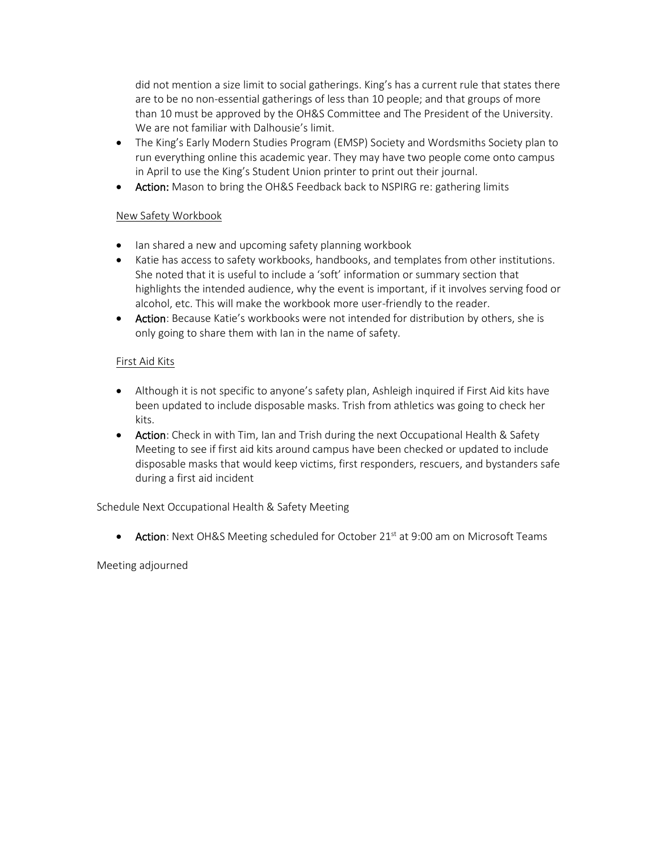did not mention a size limit to social gatherings. King's has a current rule that states there are to be no non-essential gatherings of less than 10 people; and that groups of more than 10 must be approved by the OH&S Committee and The President of the University. We are not familiar with Dalhousie's limit.

- The King's Early Modern Studies Program (EMSP) Society and Wordsmiths Society plan to run everything online this academic year. They may have two people come onto campus in April to use the King's Student Union printer to print out their journal.
- Action: Mason to bring the OH&S Feedback back to NSPIRG re: gathering limits

# New Safety Workbook

- Ian shared a new and upcoming safety planning workbook
- Katie has access to safety workbooks, handbooks, and templates from other institutions. She noted that it is useful to include a 'soft' information or summary section that highlights the intended audience, why the event is important, if it involves serving food or alcohol, etc. This will make the workbook more user-friendly to the reader.
- Action: Because Katie's workbooks were not intended for distribution by others, she is only going to share them with Ian in the name of safety.

# First Aid Kits

- Although it is not specific to anyone's safety plan, Ashleigh inquired if First Aid kits have been updated to include disposable masks. Trish from athletics was going to check her kits.
- Action: Check in with Tim, Ian and Trish during the next Occupational Health & Safety Meeting to see if first aid kits around campus have been checked or updated to include disposable masks that would keep victims, first responders, rescuers, and bystanders safe during a first aid incident

Schedule Next Occupational Health & Safety Meeting

• Action: Next OH&S Meeting scheduled for October 21 $\mathrm{^{st}}$  at 9:00 am on Microsoft Teams

## Meeting adjourned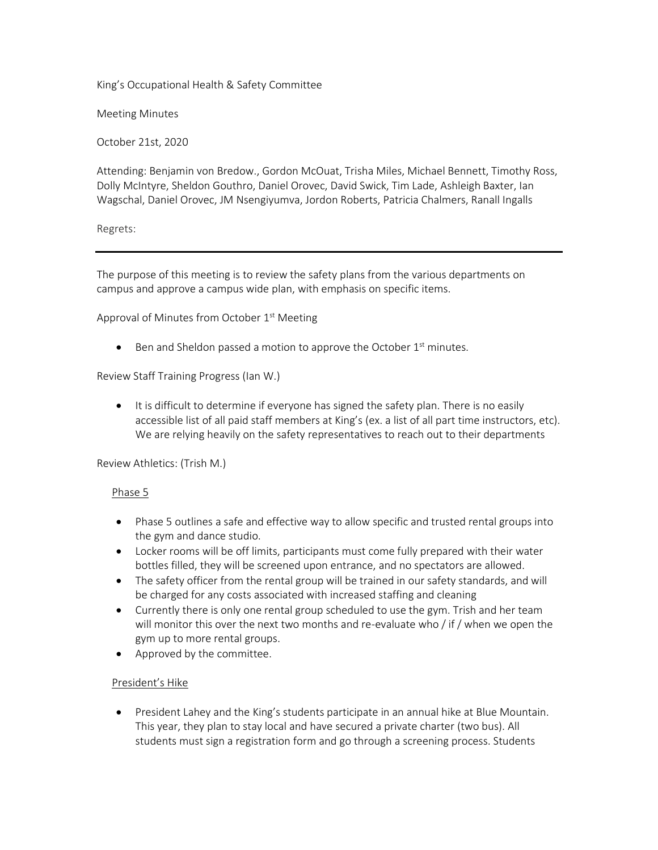King's Occupational Health & Safety Committee

Meeting Minutes

October 21st, 2020

Attending: Benjamin von Bredow., Gordon McOuat, Trisha Miles, Michael Bennett, Timothy Ross, Dolly McIntyre, Sheldon Gouthro, Daniel Orovec, David Swick, Tim Lade, Ashleigh Baxter, Ian Wagschal, Daniel Orovec, JM Nsengiyumva, Jordon Roberts, Patricia Chalmers, Ranall Ingalls

Regrets:

The purpose of this meeting is to review the safety plans from the various departments on campus and approve a campus wide plan, with emphasis on specific items.

Approval of Minutes from October 1<sup>st</sup> Meeting

 $\bullet$  Ben and Sheldon passed a motion to approve the October  $1<sup>st</sup>$  minutes.

Review Staff Training Progress (Ian W.)

• It is difficult to determine if everyone has signed the safety plan. There is no easily accessible list of all paid staff members at King's (ex. a list of all part time instructors, etc). We are relying heavily on the safety representatives to reach out to their departments

Review Athletics: (Trish M.)

#### Phase 5

- Phase 5 outlines a safe and effective way to allow specific and trusted rental groups into the gym and dance studio.
- Locker rooms will be off limits, participants must come fully prepared with their water bottles filled, they will be screened upon entrance, and no spectators are allowed.
- The safety officer from the rental group will be trained in our safety standards, and will be charged for any costs associated with increased staffing and cleaning
- Currently there is only one rental group scheduled to use the gym. Trish and her team will monitor this over the next two months and re-evaluate who / if / when we open the gym up to more rental groups.
- Approved by the committee.

## President's Hike

• President Lahey and the King's students participate in an annual hike at Blue Mountain. This year, they plan to stay local and have secured a private charter (two bus). All students must sign a registration form and go through a screening process. Students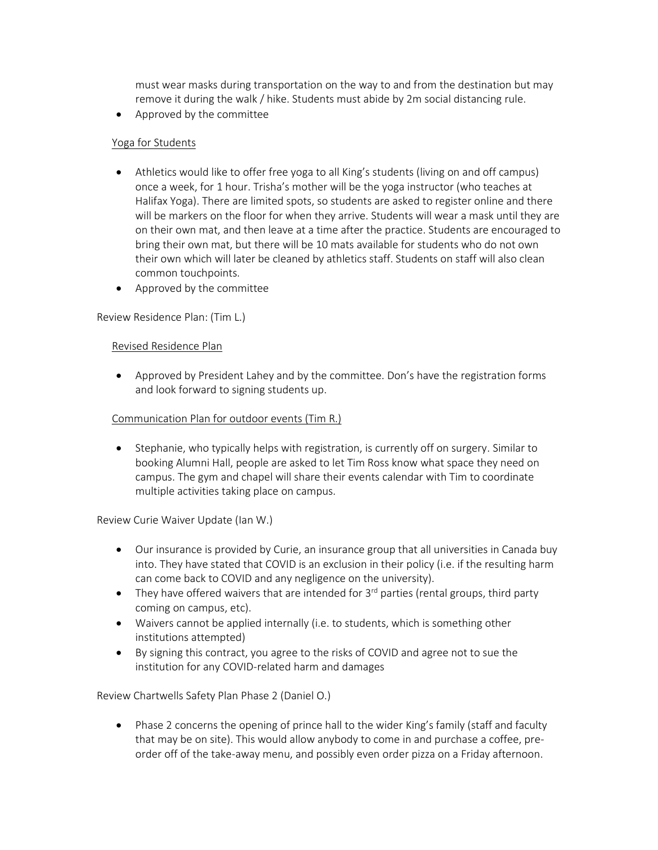must wear masks during transportation on the way to and from the destination but may remove it during the walk / hike. Students must abide by 2m social distancing rule.

• Approved by the committee

# Yoga for Students

- Athletics would like to offer free yoga to all King's students (living on and off campus) once a week, for 1 hour. Trisha's mother will be the yoga instructor (who teaches at Halifax Yoga). There are limited spots, so students are asked to register online and there will be markers on the floor for when they arrive. Students will wear a mask until they are on their own mat, and then leave at a time after the practice. Students are encouraged to bring their own mat, but there will be 10 mats available for students who do not own their own which will later be cleaned by athletics staff. Students on staff will also clean common touchpoints.
- Approved by the committee

Review Residence Plan: (Tim L.)

## Revised Residence Plan

• Approved by President Lahey and by the committee. Don's have the registration forms and look forward to signing students up.

# Communication Plan for outdoor events (Tim R.)

• Stephanie, who typically helps with registration, is currently off on surgery. Similar to booking Alumni Hall, people are asked to let Tim Ross know what space they need on campus. The gym and chapel will share their events calendar with Tim to coordinate multiple activities taking place on campus.

Review Curie Waiver Update (Ian W.)

- Our insurance is provided by Curie, an insurance group that all universities in Canada buy into. They have stated that COVID is an exclusion in their policy (i.e. if the resulting harm can come back to COVID and any negligence on the university).
- They have offered waivers that are intended for  $3<sup>rd</sup>$  parties (rental groups, third party coming on campus, etc).
- Waivers cannot be applied internally (i.e. to students, which is something other institutions attempted)
- By signing this contract, you agree to the risks of COVID and agree not to sue the institution for any COVID-related harm and damages

Review Chartwells Safety Plan Phase 2 (Daniel O.)

• Phase 2 concerns the opening of prince hall to the wider King's family (staff and faculty that may be on site). This would allow anybody to come in and purchase a coffee, preorder off of the take-away menu, and possibly even order pizza on a Friday afternoon.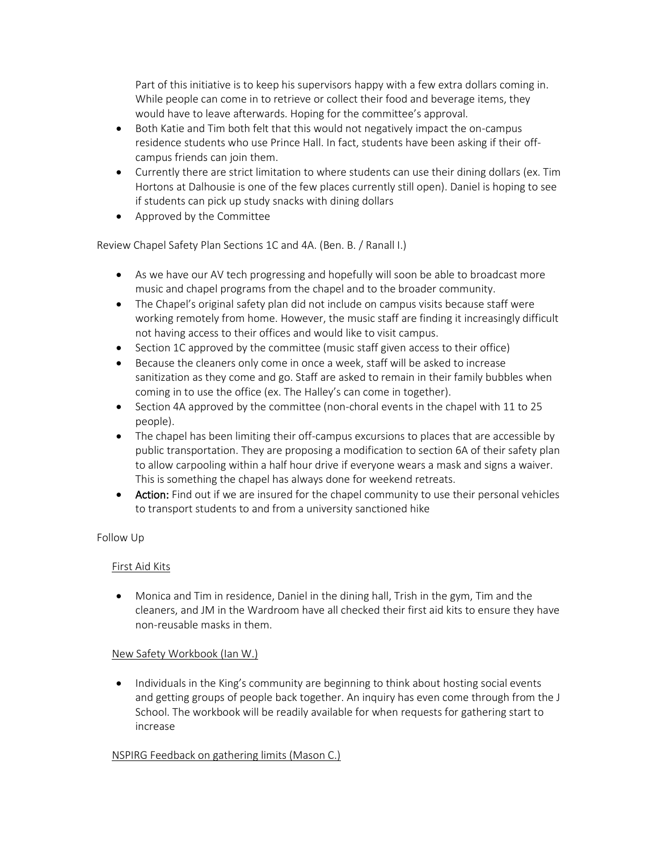Part of this initiative is to keep his supervisors happy with a few extra dollars coming in. While people can come in to retrieve or collect their food and beverage items, they would have to leave afterwards. Hoping for the committee's approval.

- Both Katie and Tim both felt that this would not negatively impact the on-campus residence students who use Prince Hall. In fact, students have been asking if their offcampus friends can join them.
- Currently there are strict limitation to where students can use their dining dollars (ex. Tim Hortons at Dalhousie is one of the few places currently still open). Daniel is hoping to see if students can pick up study snacks with dining dollars
- Approved by the Committee

Review Chapel Safety Plan Sections 1C and 4A. (Ben. B. / Ranall I.)

- As we have our AV tech progressing and hopefully will soon be able to broadcast more music and chapel programs from the chapel and to the broader community.
- The Chapel's original safety plan did not include on campus visits because staff were working remotely from home. However, the music staff are finding it increasingly difficult not having access to their offices and would like to visit campus.
- Section 1C approved by the committee (music staff given access to their office)
- Because the cleaners only come in once a week, staff will be asked to increase sanitization as they come and go. Staff are asked to remain in their family bubbles when coming in to use the office (ex. The Halley's can come in together).
- Section 4A approved by the committee (non-choral events in the chapel with 11 to 25 people).
- The chapel has been limiting their off-campus excursions to places that are accessible by public transportation. They are proposing a modification to section 6A of their safety plan to allow carpooling within a half hour drive if everyone wears a mask and signs a waiver. This is something the chapel has always done for weekend retreats.
- Action: Find out if we are insured for the chapel community to use their personal vehicles to transport students to and from a university sanctioned hike

# Follow Up

## First Aid Kits

• Monica and Tim in residence, Daniel in the dining hall, Trish in the gym, Tim and the cleaners, and JM in the Wardroom have all checked their first aid kits to ensure they have non-reusable masks in them.

## New Safety Workbook (Ian W.)

• Individuals in the King's community are beginning to think about hosting social events and getting groups of people back together. An inquiry has even come through from the J School. The workbook will be readily available for when requests for gathering start to increase

## NSPIRG Feedback on gathering limits (Mason C.)